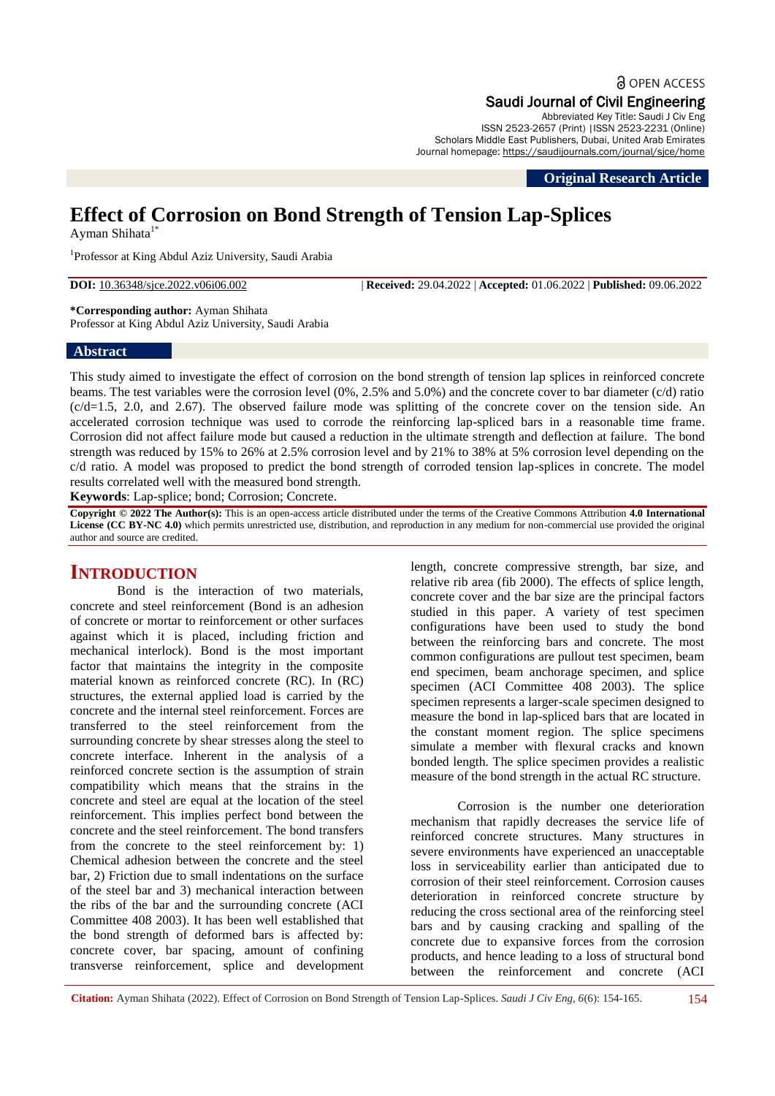# a OPEN ACCESS

#### Saudi Journal of Civil Engineering Abbreviated Key Title: Saudi J Civ Eng

ISSN 2523-2657 (Print) |ISSN 2523-2231 (Online) Scholars Middle East Publishers, Dubai, United Arab Emirates Journal homepage: https://saudijournals.com/journal/sjce/home

**Original Research Article**

# **Effect of Corrosion on Bond Strength of Tension Lap-Splices**

Ayman Shihata<sup>1\*</sup>

<sup>1</sup>Professor at King Abdul Aziz University, Saudi Arabia

**DOI:** 10.36348/sjce.2022.v06i06.002 | **Received:** 29.04.2022 | **Accepted:** 01.06.2022 | **Published:** 09.06.2022

**\*Corresponding author:** Ayman Shihata Professor at King Abdul Aziz University, Saudi Arabia

#### **Abstract**

This study aimed to investigate the effect of corrosion on the bond strength of tension lap splices in reinforced concrete beams. The test variables were the corrosion level (0%, 2.5% and 5.0%) and the concrete cover to bar diameter (c/d) ratio (c/d=1.5, 2.0, and 2.67). The observed failure mode was splitting of the concrete cover on the tension side. An accelerated corrosion technique was used to corrode the reinforcing lap-spliced bars in a reasonable time frame. Corrosion did not affect failure mode but caused a reduction in the ultimate strength and deflection at failure. The bond strength was reduced by 15% to 26% at 2.5% corrosion level and by 21% to 38% at 5% corrosion level depending on the c/d ratio. A model was proposed to predict the bond strength of corroded tension lap-splices in concrete. The model results correlated well with the measured bond strength.

**Keywords**: Lap-splice; bond; Corrosion; Concrete.

**Copyright © 2022 The Author(s):** This is an open-access article distributed under the terms of the Creative Commons Attribution **4.0 International License (CC BY-NC 4.0)** which permits unrestricted use, distribution, and reproduction in any medium for non-commercial use provided the original author and source are credited.

# **INTRODUCTION**

Bond is the interaction of two materials, concrete and steel reinforcement (Bond is an adhesion of concrete or mortar to reinforcement or other surfaces against which it is placed, including friction and mechanical interlock). Bond is the most important factor that maintains the integrity in the composite material known as reinforced concrete (RC). In (RC) structures, the external applied load is carried by the concrete and the internal steel reinforcement. Forces are transferred to the steel reinforcement from the surrounding concrete by shear stresses along the steel to concrete interface. Inherent in the analysis of a reinforced concrete section is the assumption of strain compatibility which means that the strains in the concrete and steel are equal at the location of the steel reinforcement. This implies perfect bond between the concrete and the steel reinforcement. The bond transfers from the concrete to the steel reinforcement by: 1) Chemical adhesion between the concrete and the steel bar, 2) Friction due to small indentations on the surface of the steel bar and 3) mechanical interaction between the ribs of the bar and the surrounding concrete (ACI Committee 408 2003). It has been well established that the bond strength of deformed bars is affected by: concrete cover, bar spacing, amount of confining transverse reinforcement, splice and development

length, concrete compressive strength, bar size, and relative rib area (fib 2000). The effects of splice length, concrete cover and the bar size are the principal factors studied in this paper. A variety of test specimen configurations have been used to study the bond between the reinforcing bars and concrete. The most common configurations are pullout test specimen, beam end specimen, beam anchorage specimen, and splice specimen (ACI Committee 408 2003). The splice specimen represents a larger-scale specimen designed to measure the bond in lap-spliced bars that are located in the constant moment region. The splice specimens simulate a member with flexural cracks and known bonded length. The splice specimen provides a realistic measure of the bond strength in the actual RC structure.

Corrosion is the number one deterioration mechanism that rapidly decreases the service life of reinforced concrete structures. Many structures in severe environments have experienced an unacceptable loss in serviceability earlier than anticipated due to corrosion of their steel reinforcement. Corrosion causes deterioration in reinforced concrete structure by reducing the cross sectional area of the reinforcing steel bars and by causing cracking and spalling of the concrete due to expansive forces from the corrosion products, and hence leading to a loss of structural bond between the reinforcement and concrete (ACI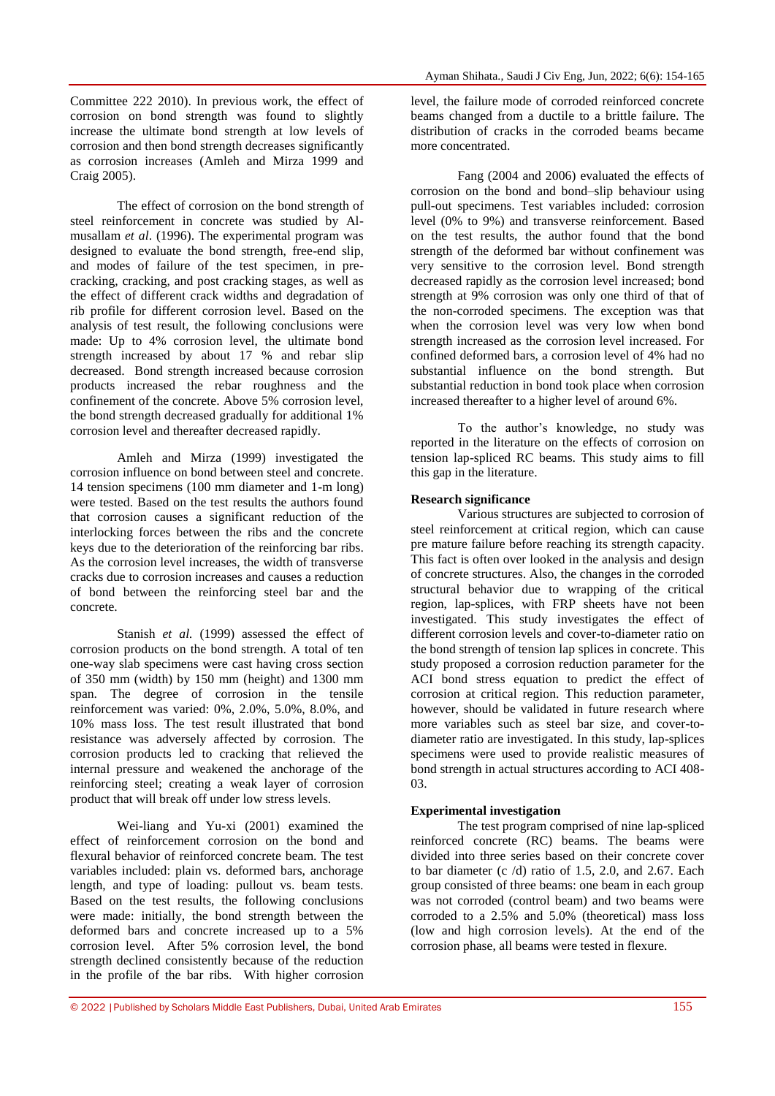The effect of corrosion on the bond strength of steel reinforcement in concrete was studied by Almusallam *et al*. (1996). The experimental program was designed to evaluate the bond strength, free-end slip, and modes of failure of the test specimen, in precracking, cracking, and post cracking stages, as well as the effect of different crack widths and degradation of rib profile for different corrosion level. Based on the analysis of test result, the following conclusions were made: Up to 4% corrosion level, the ultimate bond strength increased by about 17 % and rebar slip decreased. Bond strength increased because corrosion products increased the rebar roughness and the confinement of the concrete. Above 5% corrosion level, the bond strength decreased gradually for additional 1% corrosion level and thereafter decreased rapidly.

Amleh and Mirza (1999) investigated the corrosion influence on bond between steel and concrete. 14 tension specimens (100 mm diameter and 1-m long) were tested. Based on the test results the authors found that corrosion causes a significant reduction of the interlocking forces between the ribs and the concrete keys due to the deterioration of the reinforcing bar ribs. As the corrosion level increases, the width of transverse cracks due to corrosion increases and causes a reduction of bond between the reinforcing steel bar and the concrete.

Stanish *et al.* (1999) assessed the effect of corrosion products on the bond strength. A total of ten one-way slab specimens were cast having cross section of 350 mm (width) by 150 mm (height) and 1300 mm span. The degree of corrosion in the tensile reinforcement was varied: 0%, 2.0%, 5.0%, 8.0%, and 10% mass loss. The test result illustrated that bond resistance was adversely affected by corrosion. The corrosion products led to cracking that relieved the internal pressure and weakened the anchorage of the reinforcing steel; creating a weak layer of corrosion product that will break off under low stress levels.

Wei-liang and Yu-xi (2001) examined the effect of reinforcement corrosion on the bond and flexural behavior of reinforced concrete beam. The test variables included: plain vs. deformed bars, anchorage length, and type of loading: pullout vs. beam tests. Based on the test results, the following conclusions were made: initially, the bond strength between the deformed bars and concrete increased up to a 5% corrosion level. After 5% corrosion level, the bond strength declined consistently because of the reduction in the profile of the bar ribs. With higher corrosion level, the failure mode of corroded reinforced concrete beams changed from a ductile to a brittle failure. The distribution of cracks in the corroded beams became more concentrated.

Fang (2004 and 2006) evaluated the effects of corrosion on the bond and bond–slip behaviour using pull-out specimens. Test variables included: corrosion level (0% to 9%) and transverse reinforcement. Based on the test results, the author found that the bond strength of the deformed bar without confinement was very sensitive to the corrosion level. Bond strength decreased rapidly as the corrosion level increased; bond strength at 9% corrosion was only one third of that of the non-corroded specimens. The exception was that when the corrosion level was very low when bond strength increased as the corrosion level increased. For confined deformed bars, a corrosion level of 4% had no substantial influence on the bond strength. But substantial reduction in bond took place when corrosion increased thereafter to a higher level of around 6%.

To the author's knowledge, no study was reported in the literature on the effects of corrosion on tension lap-spliced RC beams. This study aims to fill this gap in the literature.

# **Research significance**

Various structures are subjected to corrosion of steel reinforcement at critical region, which can cause pre mature failure before reaching its strength capacity. This fact is often over looked in the analysis and design of concrete structures. Also, the changes in the corroded structural behavior due to wrapping of the critical region, lap-splices, with FRP sheets have not been investigated. This study investigates the effect of different corrosion levels and cover-to-diameter ratio on the bond strength of tension lap splices in concrete. This study proposed a corrosion reduction parameter for the ACI bond stress equation to predict the effect of corrosion at critical region. This reduction parameter, however, should be validated in future research where more variables such as steel bar size, and cover-todiameter ratio are investigated. In this study, lap-splices specimens were used to provide realistic measures of bond strength in actual structures according to ACI 408- 03.

## **Experimental investigation**

The test program comprised of nine lap-spliced reinforced concrete (RC) beams. The beams were divided into three series based on their concrete cover to bar diameter  $(c/d)$  ratio of 1.5, 2.0, and 2.67. Each group consisted of three beams: one beam in each group was not corroded (control beam) and two beams were corroded to a 2.5% and 5.0% (theoretical) mass loss (low and high corrosion levels). At the end of the corrosion phase, all beams were tested in flexure.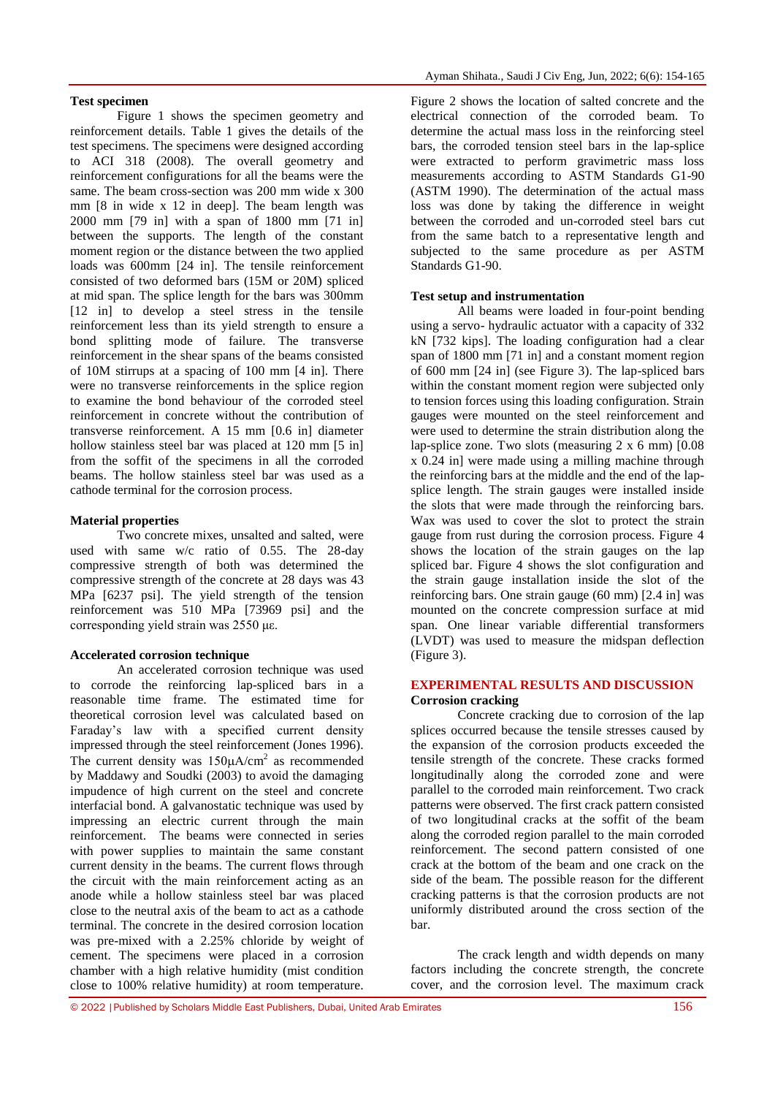#### **Test specimen**

Figure 1 shows the specimen geometry and reinforcement details. Table 1 gives the details of the test specimens. The specimens were designed according to ACI 318 (2008). The overall geometry and reinforcement configurations for all the beams were the same. The beam cross-section was 200 mm wide x 300 mm [8 in wide x 12 in deep]. The beam length was 2000 mm [79 in] with a span of 1800 mm [71 in] between the supports. The length of the constant moment region or the distance between the two applied loads was 600mm [24 in]. The tensile reinforcement consisted of two deformed bars (15M or 20M) spliced at mid span. The splice length for the bars was 300mm [12 in] to develop a steel stress in the tensile reinforcement less than its yield strength to ensure a bond splitting mode of failure. The transverse reinforcement in the shear spans of the beams consisted of 10M stirrups at a spacing of 100 mm [4 in]. There were no transverse reinforcements in the splice region to examine the bond behaviour of the corroded steel reinforcement in concrete without the contribution of transverse reinforcement. A 15 mm [0.6 in] diameter hollow stainless steel bar was placed at 120 mm [5 in] from the soffit of the specimens in all the corroded beams. The hollow stainless steel bar was used as a cathode terminal for the corrosion process.

## **Material properties**

Two concrete mixes, unsalted and salted, were used with same w/c ratio of 0.55. The 28-day compressive strength of both was determined the compressive strength of the concrete at 28 days was 43 MPa [6237 psi]. The yield strength of the tension reinforcement was 510 MPa [73969 psi] and the corresponding yield strain was 2550 με.

## **Accelerated corrosion technique**

An accelerated corrosion technique was used to corrode the reinforcing lap-spliced bars in a reasonable time frame. The estimated time for theoretical corrosion level was calculated based on Faraday's law with a specified current density impressed through the steel reinforcement (Jones 1996). The current density was  $150 \mu A/cm^2$  as recommended by Maddawy and Soudki (2003) to avoid the damaging impudence of high current on the steel and concrete interfacial bond. A galvanostatic technique was used by impressing an electric current through the main reinforcement. The beams were connected in series with power supplies to maintain the same constant current density in the beams. The current flows through the circuit with the main reinforcement acting as an anode while a hollow stainless steel bar was placed close to the neutral axis of the beam to act as a cathode terminal. The concrete in the desired corrosion location was pre-mixed with a 2.25% chloride by weight of cement. The specimens were placed in a corrosion chamber with a high relative humidity (mist condition close to 100% relative humidity) at room temperature.

Figure 2 shows the location of salted concrete and the electrical connection of the corroded beam. To determine the actual mass loss in the reinforcing steel bars, the corroded tension steel bars in the lap-splice were extracted to perform gravimetric mass loss measurements according to ASTM Standards G1-90 (ASTM 1990). The determination of the actual mass loss was done by taking the difference in weight between the corroded and un-corroded steel bars cut from the same batch to a representative length and subjected to the same procedure as per ASTM Standards G1-90.

## **Test setup and instrumentation**

All beams were loaded in four-point bending using a servo- hydraulic actuator with a capacity of 332 kN [732 kips]. The loading configuration had a clear span of 1800 mm [71 in] and a constant moment region of 600 mm [24 in] (see Figure 3). The lap-spliced bars within the constant moment region were subjected only to tension forces using this loading configuration. Strain gauges were mounted on the steel reinforcement and were used to determine the strain distribution along the lap-splice zone. Two slots (measuring 2 x 6 mm) [0.08 x 0.24 in] were made using a milling machine through the reinforcing bars at the middle and the end of the lapsplice length. The strain gauges were installed inside the slots that were made through the reinforcing bars. Wax was used to cover the slot to protect the strain gauge from rust during the corrosion process. Figure 4 shows the location of the strain gauges on the lap spliced bar. Figure 4 shows the slot configuration and the strain gauge installation inside the slot of the reinforcing bars. One strain gauge (60 mm) [2.4 in] was mounted on the concrete compression surface at mid span. One linear variable differential transformers (LVDT) was used to measure the midspan deflection (Figure 3).

#### **EXPERIMENTAL RESULTS AND DISCUSSION Corrosion cracking**

Concrete cracking due to corrosion of the lap splices occurred because the tensile stresses caused by the expansion of the corrosion products exceeded the tensile strength of the concrete. These cracks formed longitudinally along the corroded zone and were parallel to the corroded main reinforcement. Two crack patterns were observed. The first crack pattern consisted of two longitudinal cracks at the soffit of the beam along the corroded region parallel to the main corroded reinforcement. The second pattern consisted of one crack at the bottom of the beam and one crack on the side of the beam. The possible reason for the different cracking patterns is that the corrosion products are not uniformly distributed around the cross section of the bar.

The crack length and width depends on many factors including the concrete strength, the concrete cover, and the corrosion level. The maximum crack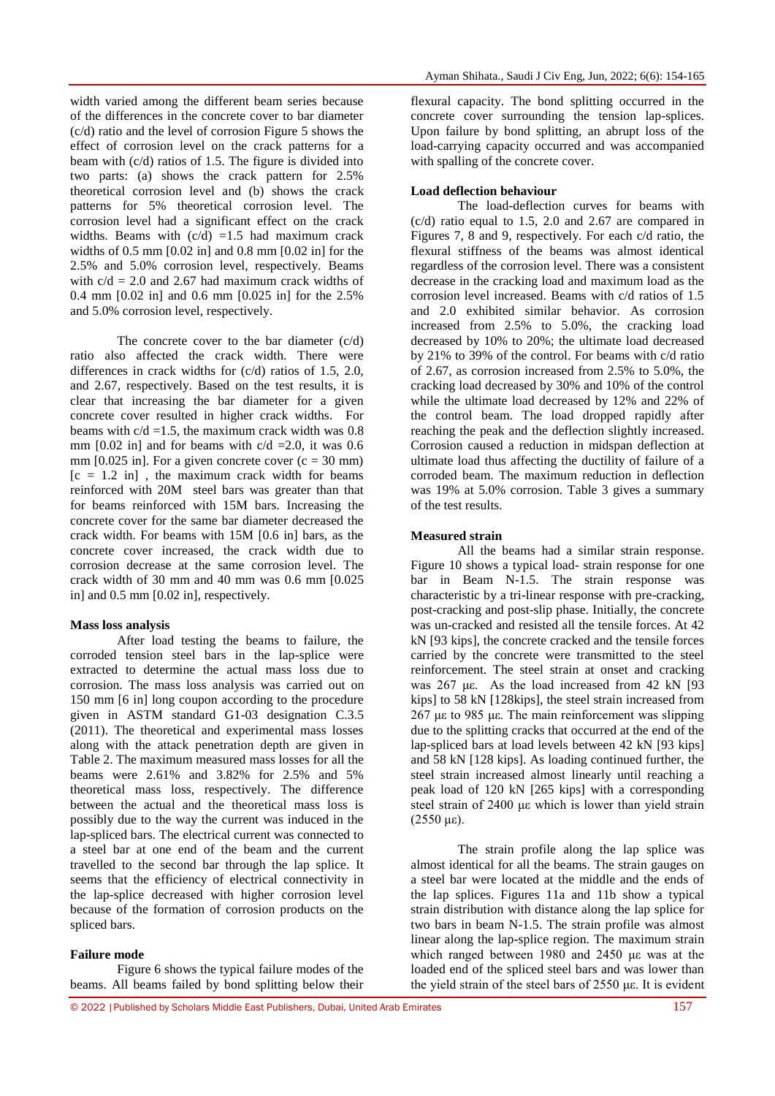width varied among the different beam series because of the differences in the concrete cover to bar diameter (c/d) ratio and the level of corrosion Figure 5 shows the effect of corrosion level on the crack patterns for a beam with (c/d) ratios of 1.5. The figure is divided into two parts: (a) shows the crack pattern for 2.5% theoretical corrosion level and (b) shows the crack patterns for 5% theoretical corrosion level. The corrosion level had a significant effect on the crack widths. Beams with  $(c/d) = 1.5$  had maximum crack widths of 0.5 mm [0.02 in] and 0.8 mm [0.02 in] for the 2.5% and 5.0% corrosion level, respectively. Beams with  $c/d = 2.0$  and 2.67 had maximum crack widths of 0.4 mm [0.02 in] and 0.6 mm [0.025 in] for the 2.5% and 5.0% corrosion level, respectively.

The concrete cover to the bar diameter  $(c/d)$ ratio also affected the crack width. There were differences in crack widths for (c/d) ratios of 1.5, 2.0, and 2.67, respectively. Based on the test results, it is clear that increasing the bar diameter for a given concrete cover resulted in higher crack widths. For beams with  $c/d = 1.5$ , the maximum crack width was 0.8 mm [0.02 in] and for beams with  $c/d = 2.0$ , it was 0.6 mm [0.025 in]. For a given concrete cover  $(c = 30$  mm)  $[c = 1.2 \text{ in}]$ , the maximum crack width for beams reinforced with 20M steel bars was greater than that for beams reinforced with 15M bars. Increasing the concrete cover for the same bar diameter decreased the crack width. For beams with 15M [0.6 in] bars, as the concrete cover increased, the crack width due to corrosion decrease at the same corrosion level. The crack width of 30 mm and 40 mm was 0.6 mm [0.025 in] and 0.5 mm [0.02 in], respectively.

#### **Mass loss analysis**

After load testing the beams to failure, the corroded tension steel bars in the lap-splice were extracted to determine the actual mass loss due to corrosion. The mass loss analysis was carried out on 150 mm [6 in] long coupon according to the procedure given in ASTM standard G1-03 designation C.3.5 (2011). The theoretical and experimental mass losses along with the attack penetration depth are given in Table 2. The maximum measured mass losses for all the beams were 2.61% and 3.82% for 2.5% and 5% theoretical mass loss, respectively. The difference between the actual and the theoretical mass loss is possibly due to the way the current was induced in the lap-spliced bars. The electrical current was connected to a steel bar at one end of the beam and the current travelled to the second bar through the lap splice. It seems that the efficiency of electrical connectivity in the lap-splice decreased with higher corrosion level because of the formation of corrosion products on the spliced bars.

#### **Failure mode**

Figure 6 shows the typical failure modes of the beams. All beams failed by bond splitting below their

flexural capacity. The bond splitting occurred in the concrete cover surrounding the tension lap-splices. Upon failure by bond splitting, an abrupt loss of the load-carrying capacity occurred and was accompanied with spalling of the concrete cover.

## **Load deflection behaviour**

The load-deflection curves for beams with (c/d) ratio equal to 1.5, 2.0 and 2.67 are compared in Figures 7, 8 and 9, respectively. For each c/d ratio, the flexural stiffness of the beams was almost identical regardless of the corrosion level. There was a consistent decrease in the cracking load and maximum load as the corrosion level increased. Beams with c/d ratios of 1.5 and 2.0 exhibited similar behavior. As corrosion increased from 2.5% to 5.0%, the cracking load decreased by 10% to 20%; the ultimate load decreased by 21% to 39% of the control. For beams with c/d ratio of 2.67, as corrosion increased from 2.5% to 5.0%, the cracking load decreased by 30% and 10% of the control while the ultimate load decreased by 12% and 22% of the control beam. The load dropped rapidly after reaching the peak and the deflection slightly increased. Corrosion caused a reduction in midspan deflection at ultimate load thus affecting the ductility of failure of a corroded beam. The maximum reduction in deflection was 19% at 5.0% corrosion. Table 3 gives a summary of the test results.

#### **Measured strain**

All the beams had a similar strain response. Figure 10 shows a typical load- strain response for one bar in Beam N-1.5. The strain response was characteristic by a tri-linear response with pre-cracking, post-cracking and post-slip phase. Initially, the concrete was un-cracked and resisted all the tensile forces. At 42 kN [93 kips], the concrete cracked and the tensile forces carried by the concrete were transmitted to the steel reinforcement. The steel strain at onset and cracking was 267 με. As the load increased from 42 kN [93 kips] to 58 kN [128kips], the steel strain increased from 267 με to 985 με. The main reinforcement was slipping due to the splitting cracks that occurred at the end of the lap-spliced bars at load levels between 42 kN [93 kips] and 58 kN [128 kips]. As loading continued further, the steel strain increased almost linearly until reaching a peak load of 120 kN [265 kips] with a corresponding steel strain of 2400 με which is lower than yield strain  $(2550 \text{ με})$ .

The strain profile along the lap splice was almost identical for all the beams. The strain gauges on a steel bar were located at the middle and the ends of the lap splices. Figures 11a and 11b show a typical strain distribution with distance along the lap splice for two bars in beam N-1.5. The strain profile was almost linear along the lap-splice region. The maximum strain which ranged between 1980 and 2450 με was at the loaded end of the spliced steel bars and was lower than the yield strain of the steel bars of 2550 με. It is evident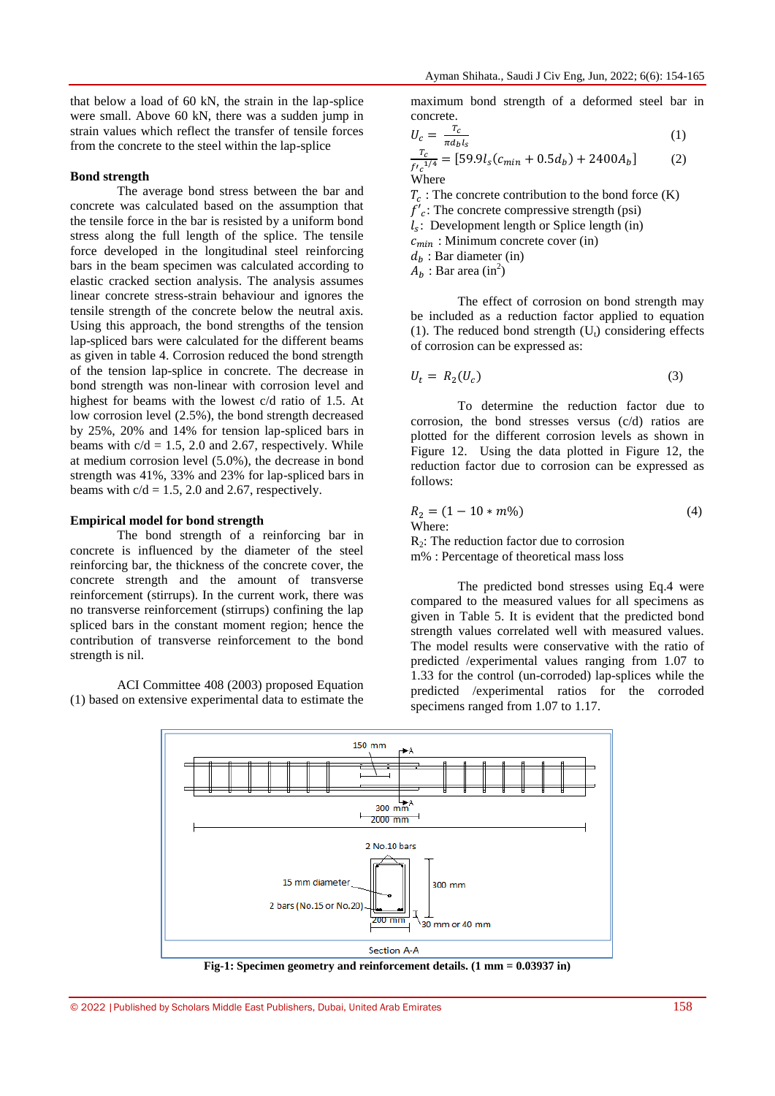that below a load of 60 kN, the strain in the lap-splice were small. Above 60 kN, there was a sudden jump in strain values which reflect the transfer of tensile forces from the concrete to the steel within the lap-splice

#### **Bond strength**

The average bond stress between the bar and concrete was calculated based on the assumption that the tensile force in the bar is resisted by a uniform bond stress along the full length of the splice. The tensile force developed in the longitudinal steel reinforcing bars in the beam specimen was calculated according to elastic cracked section analysis. The analysis assumes linear concrete stress-strain behaviour and ignores the tensile strength of the concrete below the neutral axis. Using this approach, the bond strengths of the tension lap-spliced bars were calculated for the different beams as given in table 4. Corrosion reduced the bond strength of the tension lap-splice in concrete. The decrease in bond strength was non-linear with corrosion level and highest for beams with the lowest c/d ratio of 1.5. At low corrosion level (2.5%), the bond strength decreased by 25%, 20% and 14% for tension lap-spliced bars in beams with  $c/d = 1.5$ , 2.0 and 2.67, respectively. While at medium corrosion level (5.0%), the decrease in bond strength was 41%, 33% and 23% for lap-spliced bars in beams with  $c/d = 1.5$ , 2.0 and 2.67, respectively.

#### **Empirical model for bond strength**

The bond strength of a reinforcing bar in concrete is influenced by the diameter of the steel reinforcing bar, the thickness of the concrete cover, the concrete strength and the amount of transverse reinforcement (stirrups). In the current work, there was no transverse reinforcement (stirrups) confining the lap spliced bars in the constant moment region; hence the contribution of transverse reinforcement to the bond strength is nil.

ACI Committee 408 (2003) proposed Equation (1) based on extensive experimental data to estimate the maximum bond strength of a deformed steel bar in concrete.

$$
U_c = \frac{T_c}{\pi d_b l_s}
$$
 (1)

$$
\frac{I_c}{f'c^{1/4}} = [59.9l_s(c_{min} + 0.5d_b) + 2400A_b]
$$
 (2)  
Where

 $T_c$ : The concrete contribution to the bond force (K)  $f'_{c}$ : The concrete compressive strength (psi)  $l_s$ : Development length or Splice length (in)  $c_{min}$ : Minimum concrete cover (in)  $d_h$ : Bar diameter (in)  $\overline{A}_b$ : Bar area (in<sup>2</sup>)

The effect of corrosion on bond strength may be included as a reduction factor applied to equation (1). The reduced bond strength  $(U_t)$  considering effects of corrosion can be expressed as:

$$
U_t = R_2(U_c) \tag{3}
$$

To determine the reduction factor due to corrosion, the bond stresses versus (c/d) ratios are plotted for the different corrosion levels as shown in Figure 12. Using the data plotted in Figure 12, the reduction factor due to corrosion can be expressed as follows:

$$
R_2 = (1 - 10 * m\%)
$$
 (4)  
Where:  
R<sub>2</sub>: The reduction factor due to corrosion  
m% : Percentage of theoretical mass loss

The predicted bond stresses using Eq.4 were

compared to the measured values for all specimens as given in Table 5. It is evident that the predicted bond strength values correlated well with measured values. The model results were conservative with the ratio of predicted /experimental values ranging from 1.07 to 1.33 for the control (un-corroded) lap-splices while the predicted /experimental ratios for the corroded specimens ranged from 1.07 to 1.17.



**Fig-1: Specimen geometry and reinforcement details. (1 mm = 0.03937 in)**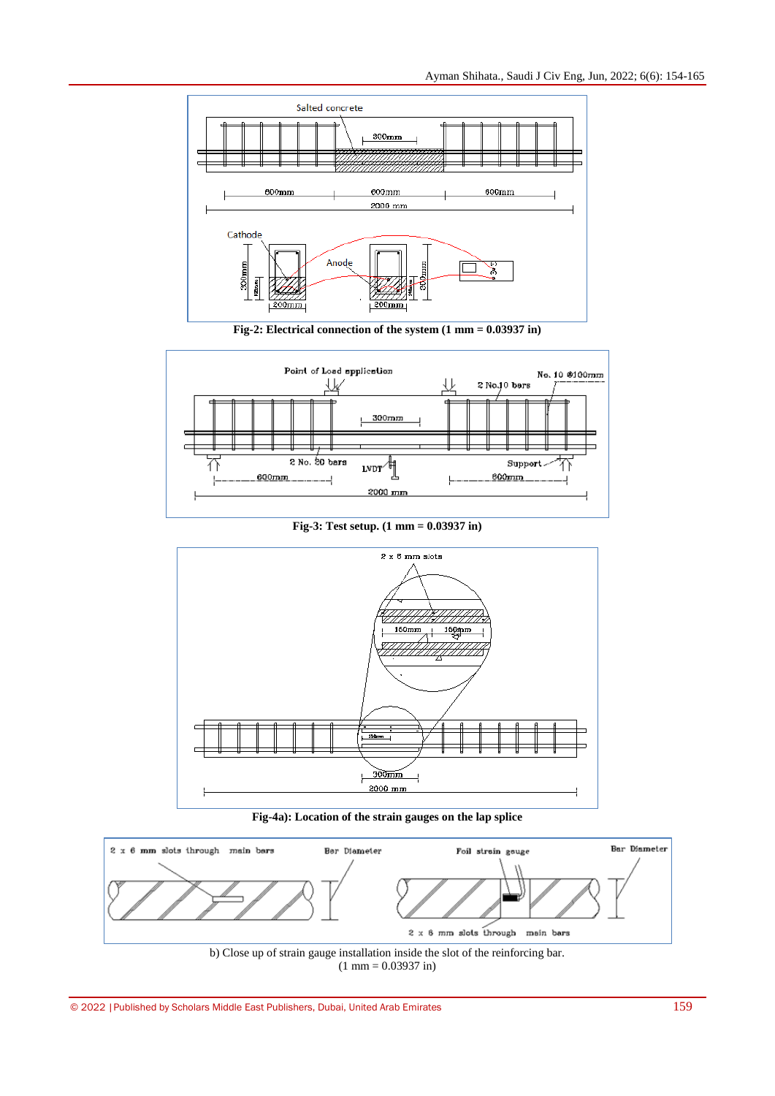

**Fig-2: Electrical connection of the system (1 mm = 0.03937 in)**



**Fig-3: Test setup. (1 mm = 0.03937 in)**



**Fig-4a): Location of the strain gauges on the lap splice**



 $(1 \text{ mm} = 0.03937 \text{ in})$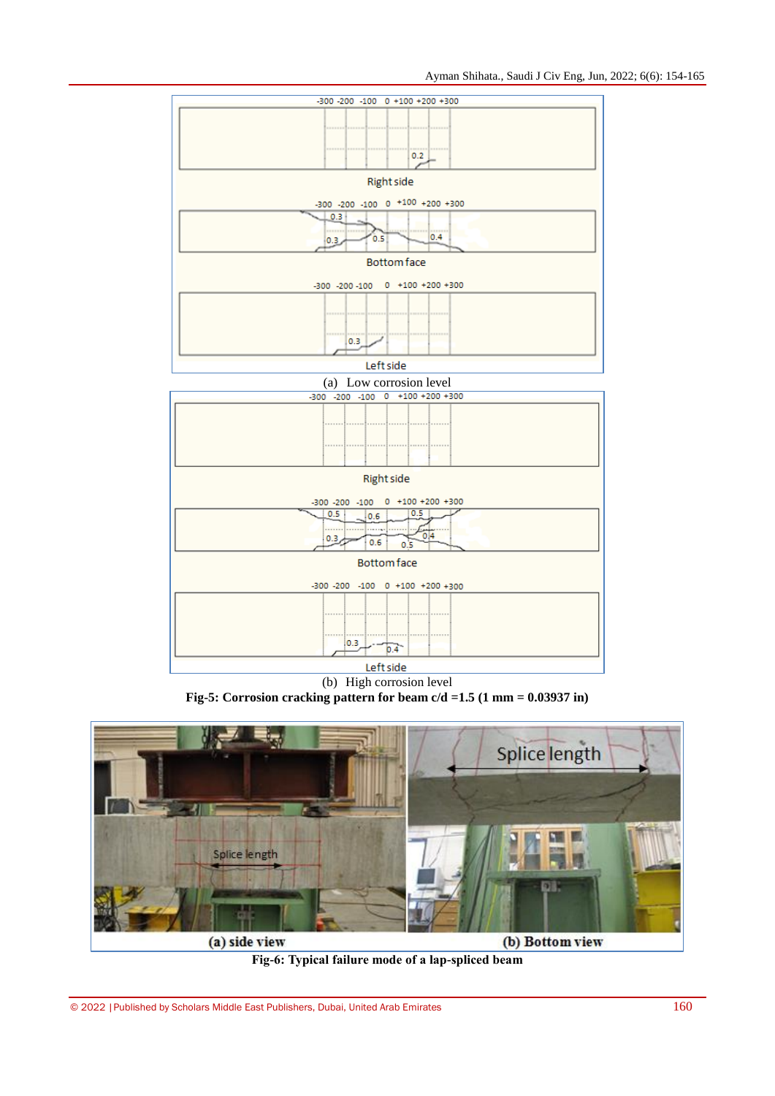| -300 -200 -100 0 +100 +200 +300                                                                                |  |  |  |  |  |  |
|----------------------------------------------------------------------------------------------------------------|--|--|--|--|--|--|
|                                                                                                                |  |  |  |  |  |  |
| 0.2                                                                                                            |  |  |  |  |  |  |
| <b>Right side</b>                                                                                              |  |  |  |  |  |  |
| -300 -200 -100 0 +100 +200 +300                                                                                |  |  |  |  |  |  |
| 0.3<br>0.4<br>0.5<br>0.3.                                                                                      |  |  |  |  |  |  |
| <b>Bottom</b> face                                                                                             |  |  |  |  |  |  |
| -300 -200 -100 0 +100 +200 +300                                                                                |  |  |  |  |  |  |
|                                                                                                                |  |  |  |  |  |  |
| 0.3                                                                                                            |  |  |  |  |  |  |
| Left side                                                                                                      |  |  |  |  |  |  |
| (a) Low corrosion level                                                                                        |  |  |  |  |  |  |
| $-300 -200 -100 = 0 +100 +200 +300$                                                                            |  |  |  |  |  |  |
|                                                                                                                |  |  |  |  |  |  |
| <b>Right side</b>                                                                                              |  |  |  |  |  |  |
|                                                                                                                |  |  |  |  |  |  |
| $0 + 100 + 200 + 300$<br>$-300 - 200 - 100$<br>0.5<br>0.5<br>0.6<br>.<br>0.4<br>0.3 <sub>7</sub><br>0.6<br>0.5 |  |  |  |  |  |  |
| <b>Bottom</b> face                                                                                             |  |  |  |  |  |  |
| -300 -200 -100 0 +100 +200 +300                                                                                |  |  |  |  |  |  |
| 0.3<br>0.4                                                                                                     |  |  |  |  |  |  |
|                                                                                                                |  |  |  |  |  |  |

Left side

(b) High corrosion level **Fig-5: Corrosion cracking pattern for beam c/d =1.5 (1 mm = 0.03937 in)**



**Fig-6: Typical failure mode of a lap-spliced beam**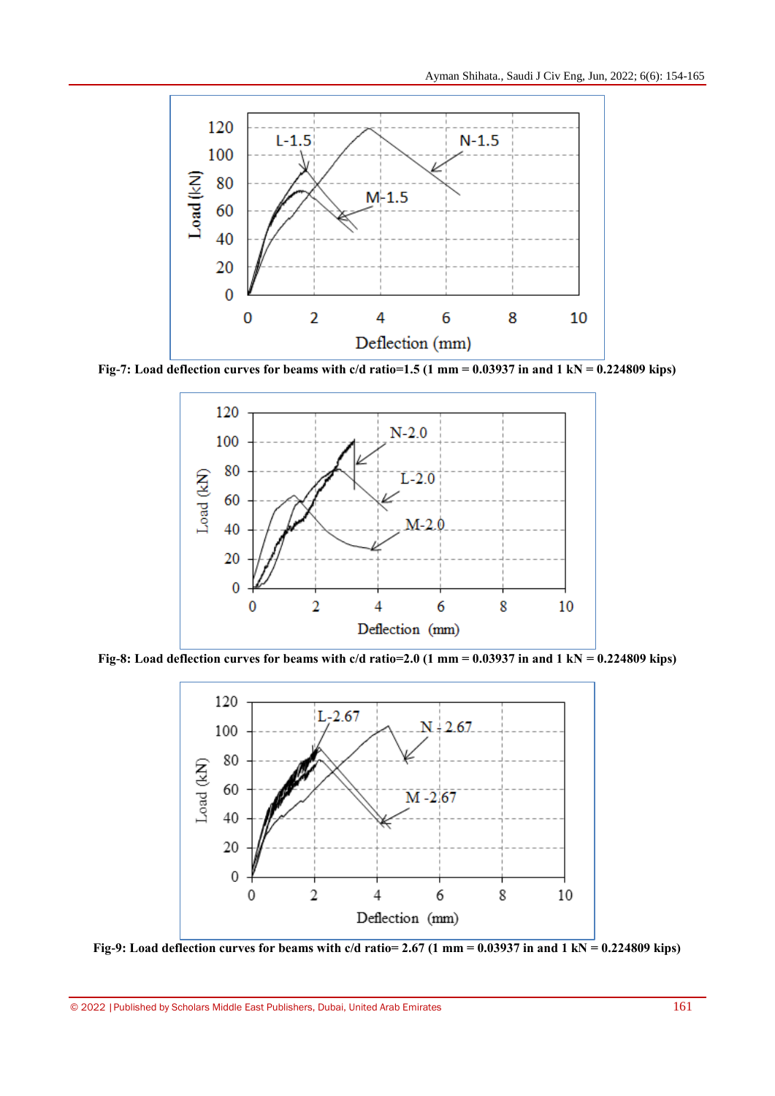

**Fig-7: Load deflection curves for beams with c/d ratio=1.5 (1 mm = 0.03937 in and 1 kN = 0.224809 kips)**



**Fig-8: Load deflection curves for beams with c/d ratio=2.0 (1 mm = 0.03937 in and 1 kN = 0.224809 kips)**



Fig-9: Load deflection curves for beams with  $c/d$  ratio= 2.67 (1 mm =  $0.03937$  in and  $1 \text{ kN} = 0.224809 \text{ kips}$ )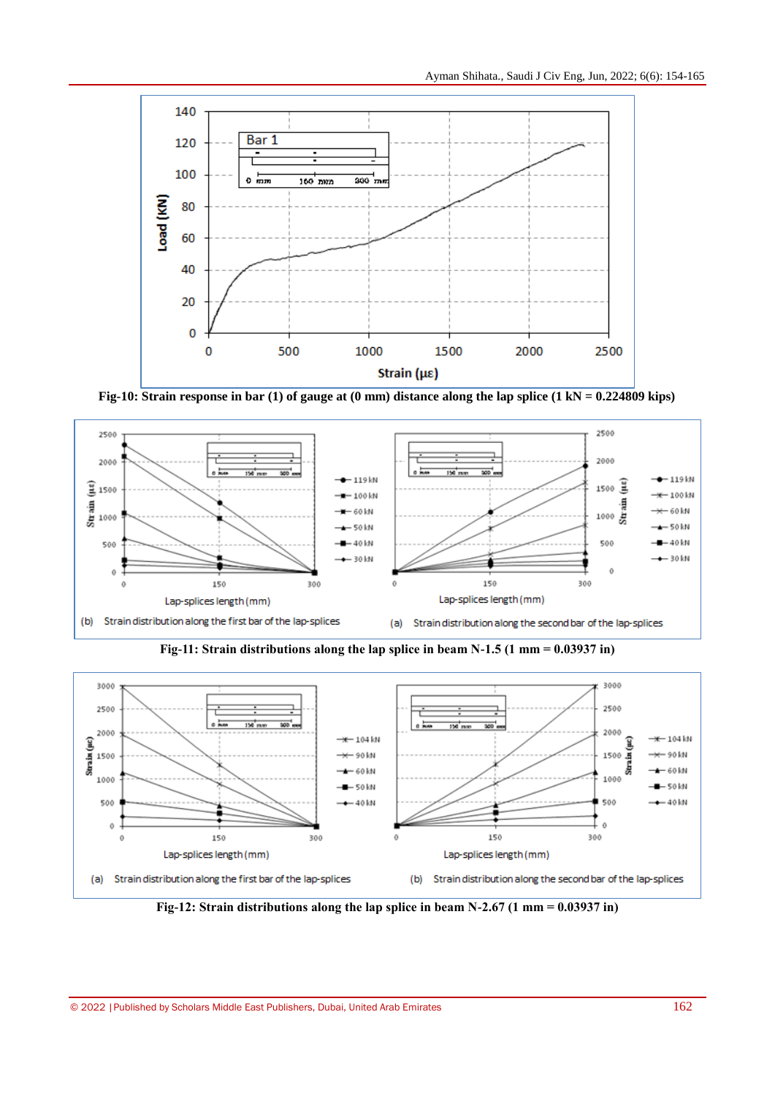

**Fig-10: Strain response in bar (1) of gauge at (0 mm) distance along the lap splice (1 kN = 0.224809 kips)**



**Fig-11: Strain distributions along the lap splice in beam N-1.5 (1 mm = 0.03937 in)**



**Fig-12: Strain distributions along the lap splice in beam N-2.67 (1 mm = 0.03937 in)**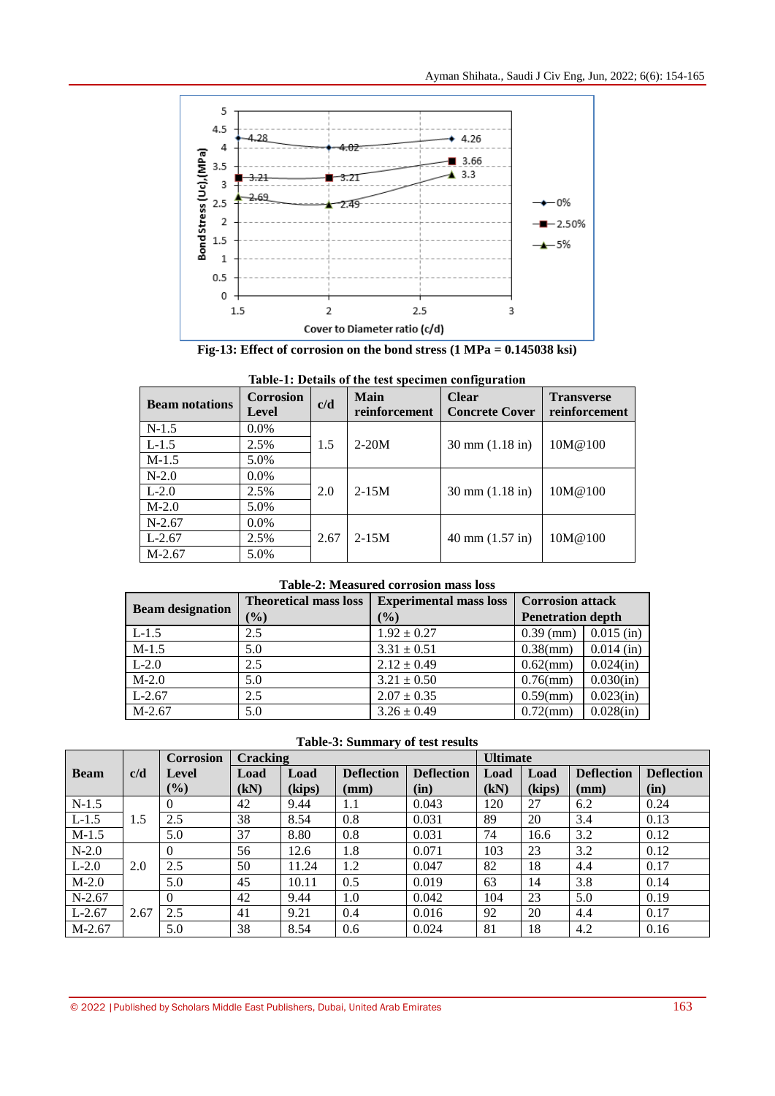

**Fig-13: Effect of corrosion on the bond stress (1 MPa = 0.145038 ksi)**

| <b>Beam notations</b> | <b>Corrosion</b><br>Level | c/d  | Main<br>reinforcement | <b>Clear</b><br><b>Concrete Cover</b> | <b>Transverse</b><br>reinforcement |
|-----------------------|---------------------------|------|-----------------------|---------------------------------------|------------------------------------|
| $N-1.5$               | $0.0\%$                   |      |                       |                                       |                                    |
| $L-1.5$               | 2.5%                      | 1.5  | $2-20M$               | $30 \text{ mm} (1.18 \text{ in})$     | 10M@100                            |
| $M-1.5$               | 5.0%                      |      |                       |                                       |                                    |
| $N-2.0$               | $0.0\%$                   |      |                       |                                       |                                    |
| $L-2.0$               | 2.5%                      | 2.0  | $2 - 15M$             | $30 \text{ mm} (1.18 \text{ in})$     | 10M@100                            |
| $M-2.0$               | 5.0%                      |      |                       |                                       |                                    |
| $N-2.67$              | $0.0\%$                   |      |                       |                                       |                                    |
| $L-2.67$              | 2.5%                      | 2.67 | $2 - 15M$             | $40 \text{ mm} (1.57 \text{ in})$     | 10M@100                            |
| $M-2.67$              | 5.0%                      |      |                       |                                       |                                    |

|  |  | Table-1: Details of the test specimen configuration |
|--|--|-----------------------------------------------------|
|  |  |                                                     |

#### **Table-2: Measured corrosion mass loss**

| <b>Beam designation</b> | <b>Theoretical mass loss</b> | <b>Experimental mass loss</b> | <b>Corrosion attack</b>  |              |  |
|-------------------------|------------------------------|-------------------------------|--------------------------|--------------|--|
|                         | $(\%)$                       | $(\%)$                        | <b>Penetration depth</b> |              |  |
| $L-1.5$                 | 2.5                          | $1.92 \pm 0.27$               | $0.39$ (mm)              | $0.015$ (in) |  |
| $M-1.5$                 | 5.0                          | $3.31 \pm 0.51$               | $0.38$ (mm)              | $0.014$ (in) |  |
| $L-2.0$                 | 2.5                          | $2.12 \pm 0.49$               | $0.62$ (mm)              | 0.024(in)    |  |
| $M-2.0$                 | 5.0                          | $3.21 \pm 0.50$               | $0.76$ (mm)              | 0.030(in)    |  |
| $L-2.67$                | 2.5                          | $2.07 \pm 0.35$               | $0.59$ (mm)              | 0.023(in)    |  |
| $M-2.67$                | 5.0                          | $3.26 \pm 0.49$               | $0.72$ (mm)              | 0.028(in)    |  |

**Table-3: Summary of test results**

|             |      | <b>Corrosion</b> |      | Cracking |                   |                   |      | <b>Ultimate</b> |                   |                   |  |
|-------------|------|------------------|------|----------|-------------------|-------------------|------|-----------------|-------------------|-------------------|--|
| <b>Beam</b> | c/d  | Level            | Load | Load     | <b>Deflection</b> | <b>Deflection</b> | Load | Load            | <b>Deflection</b> | <b>Deflection</b> |  |
|             |      | (%)              | (kN) | (kips)   | $(\mathbf{mm})$   | (in)              | (kN) | (kips)          | (mm)              | (in)              |  |
| $N-1.5$     |      | $\theta$         | 42   | 9.44     | $1.1\,$           | 0.043             | 120  | 27              | 6.2               | 0.24              |  |
| $L-1.5$     | 1.5  | 2.5              | 38   | 8.54     | 0.8               | 0.031             | 89   | 20              | 3.4               | 0.13              |  |
| $M-1.5$     |      | 5.0              | 37   | 8.80     | 0.8               | 0.031             | 74   | 16.6            | 3.2               | 0.12              |  |
| $N-2.0$     |      | $\Omega$         | 56   | 12.6     | 1.8               | 0.071             | 103  | 23              | 3.2               | 0.12              |  |
| $L-2.0$     | 2.0  | 2.5              | 50   | 11.24    | 1.2               | 0.047             | 82   | 18              | 4.4               | 0.17              |  |
| $M-2.0$     |      | 5.0              | 45   | 10.11    | 0.5               | 0.019             | 63   | 14              | 3.8               | 0.14              |  |
| $N-2.67$    |      | $\Omega$         | 42   | 9.44     | 1.0               | 0.042             | 104  | 23              | 5.0               | 0.19              |  |
| $L-2.67$    | 2.67 | 2.5              | 41   | 9.21     | 0.4               | 0.016             | 92   | 20              | 4.4               | 0.17              |  |
| $M-2.67$    |      | 5.0              | 38   | 8.54     | 0.6               | 0.024             | 81   | 18              | 4.2               | 0.16              |  |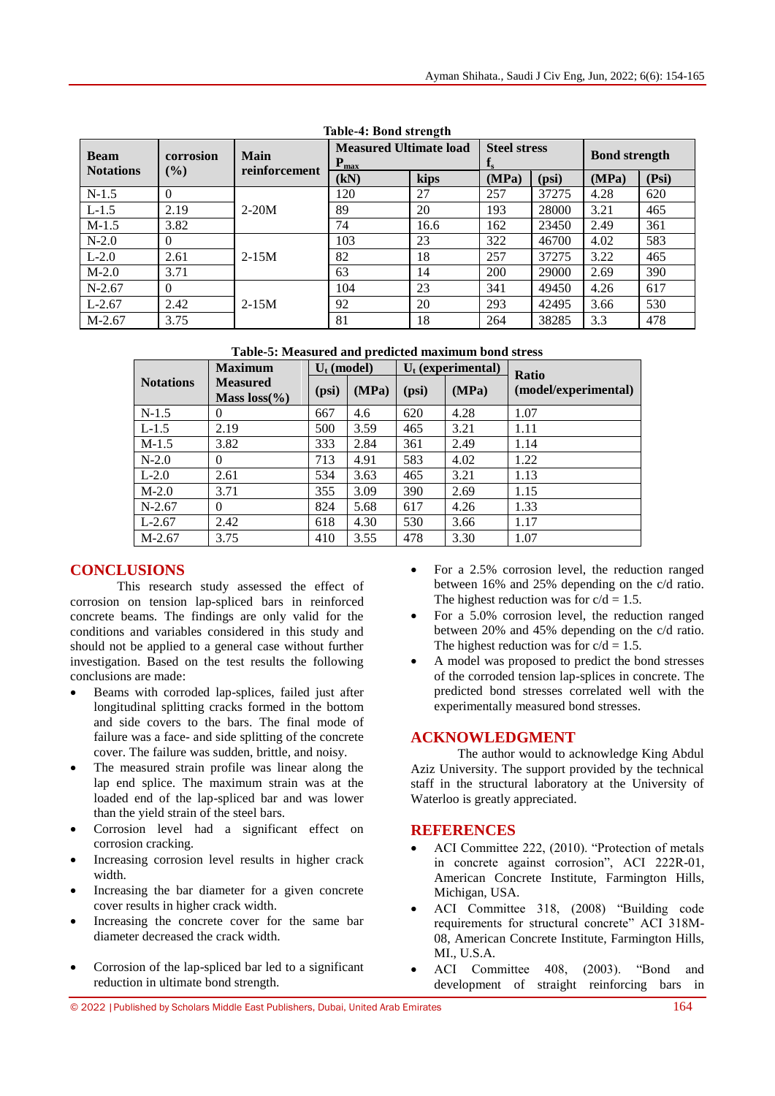| <b>Beam</b>      | corrosion<br>$(\%)$ | <b>Main</b><br>reinforcement | <b>Measured Ultimate load</b><br>$P_{max}$ |      | <b>Steel stress</b><br>$\mathbf{I}_S$ |       | <b>Bond strength</b> |       |
|------------------|---------------------|------------------------------|--------------------------------------------|------|---------------------------------------|-------|----------------------|-------|
| <b>Notations</b> |                     |                              | (kN)                                       | kips | (MPa)                                 | (psi) | (MPa)                | (Psi) |
| $N-1.5$          | $\Omega$            |                              | 120                                        | 27   | 257                                   | 37275 | 4.28                 | 620   |
| $L-1.5$          | 2.19                | $2-20M$                      | 89                                         | 20   | 193                                   | 28000 | 3.21                 | 465   |
| $M-1.5$          | 3.82                |                              | 74                                         | 16.6 | 162                                   | 23450 | 2.49                 | 361   |
| $N-2.0$          | $\Omega$            |                              | 103                                        | 23   | 322                                   | 46700 | 4.02                 | 583   |
| $L-2.0$          | 2.61                | $2-15M$                      | 82                                         | 18   | 257                                   | 37275 | 3.22                 | 465   |
| $M-2.0$          | 3.71                |                              | 63                                         | 14   | 200                                   | 29000 | 2.69                 | 390   |
| $N-2.67$         | $\Omega$            |                              | 104                                        | 23   | 341                                   | 49450 | 4.26                 | 617   |
| $L-2.67$         | 2.42                | $2-15M$                      | 92                                         | 20   | 293                                   | 42495 | 3.66                 | 530   |
| $M-2.67$         | 3.75                |                              | 81                                         | 18   | 264                                   | 38285 | 3.3                  | 478   |

**Table-4: Bond strength**

**Table-5: Measured and predicted maximum bond stress**

|                  | <b>Maximum</b>                      | $U_t$ (model) |       | $U_t$ (experimental) |       | Ratio                |  |
|------------------|-------------------------------------|---------------|-------|----------------------|-------|----------------------|--|
| <b>Notations</b> | <b>Measured</b><br>Mass $loss(\% )$ | (psi)         | (MPa) | (psi)                | (MPa) | (model/experimental) |  |
| $N-1.5$          | 0                                   | 667           | 4.6   | 620                  | 4.28  | 1.07                 |  |
| $L-1.5$          | 2.19                                | 500           | 3.59  | 465                  | 3.21  | 1.11                 |  |
| $M-1.5$          | 3.82                                | 333           | 2.84  | 361                  | 2.49  | 1.14                 |  |
| $N-2.0$          | 0                                   | 713           | 4.91  | 583                  | 4.02  | 1.22                 |  |
| $L-2.0$          | 2.61                                | 534           | 3.63  | 465                  | 3.21  | 1.13                 |  |
| $M-2.0$          | 3.71                                | 355           | 3.09  | 390                  | 2.69  | 1.15                 |  |
| $N-2.67$         | $\theta$                            | 824           | 5.68  | 617                  | 4.26  | 1.33                 |  |
| $L-2.67$         | 2.42                                | 618           | 4.30  | 530                  | 3.66  | 1.17                 |  |
| $M-2.67$         | 3.75                                | 410           | 3.55  | 478                  | 3.30  | 1.07                 |  |

# **CONCLUSIONS**

This research study assessed the effect of corrosion on tension lap-spliced bars in reinforced concrete beams. The findings are only valid for the conditions and variables considered in this study and should not be applied to a general case without further investigation. Based on the test results the following conclusions are made:

- Beams with corroded lap-splices, failed just after longitudinal splitting cracks formed in the bottom and side covers to the bars. The final mode of failure was a face- and side splitting of the concrete cover. The failure was sudden, brittle, and noisy.
- The measured strain profile was linear along the lap end splice. The maximum strain was at the loaded end of the lap-spliced bar and was lower than the yield strain of the steel bars.
- Corrosion level had a significant effect on corrosion cracking.
- Increasing corrosion level results in higher crack width.
- Increasing the bar diameter for a given concrete cover results in higher crack width.
- Increasing the concrete cover for the same bar diameter decreased the crack width.
- Corrosion of the lap-spliced bar led to a significant reduction in ultimate bond strength.
- For a 2.5% corrosion level, the reduction ranged between 16% and 25% depending on the c/d ratio. The highest reduction was for  $c/d = 1.5$ .
- For a 5.0% corrosion level, the reduction ranged between 20% and 45% depending on the c/d ratio. The highest reduction was for  $c/d = 1.5$ .
- A model was proposed to predict the bond stresses of the corroded tension lap-splices in concrete. The predicted bond stresses correlated well with the experimentally measured bond stresses.

# **ACKNOWLEDGMENT**

The author would to acknowledge King Abdul Aziz University. The support provided by the technical staff in the structural laboratory at the University of Waterloo is greatly appreciated.

# **REFERENCES**

- ACI Committee 222, (2010). "Protection of metals in concrete against corrosion", ACI 222R-01, American Concrete Institute, Farmington Hills, Michigan, USA.
- ACI Committee 318, (2008) "Building code requirements for structural concrete" ACI 318M-08, American Concrete Institute, Farmington Hills, MI., U.S.A.
- ACI Committee 408, (2003). "Bond and development of straight reinforcing bars in